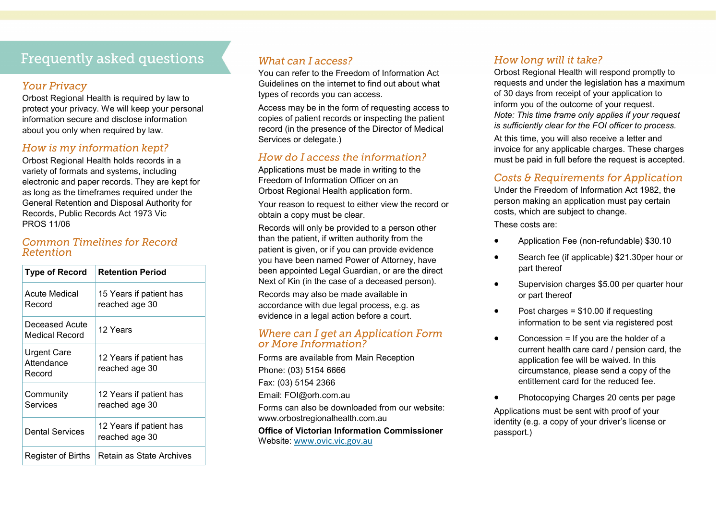# **Frequently asked questions**

#### **Your Privacy**

Orbost Regional Health is required by law to protect your privacy. We will keep your personal information secure and disclose information about you only when required by law.

#### How is my information kept?

Orbost Regional Health holds records in a variety of formats and systems, including electronic and paper records. They are kept for as long as the timeframes required under the General Retention and Disposal Authority for Records, Public Records Act 1973 Vic PROS 11/06

#### **Common Timelines for Record** Retention

| <b>Type of Record</b>               | <b>Retention Period</b>                   |
|-------------------------------------|-------------------------------------------|
| <b>Acute Medical</b><br>Record      | 15 Years if patient has<br>reached age 30 |
| Deceased Acute<br>Medical Record    | 12 Years                                  |
| Urgent Care<br>Attendance<br>Record | 12 Years if patient has<br>reached age 30 |
| Community<br>Services               | 12 Years if patient has<br>reached age 30 |
| Dental Services                     | 12 Years if patient has<br>reached age 30 |
| Register of Births                  | Retain as State Archives                  |

### What can Laccess?

You can refer to the Freedom of Information Act Guidelines on the internet to find out about what types of records you can access.

Access may be in the form of requesting access to copies of patient records or inspecting the patient record (in the presence of the Director of Medical Services or delegate.)

#### How do I access the information?

Applications must be made in writing to the Freedom of Information Officer on an Orbost Regional Health application form.

Your reason to request to either view the record or obtain a copy must be clear.

Records will only be provided to a person other than the patient, if written authority from the patient is given, or if you can provide evidence you have been named Power of Attorney, have been appointed Legal Guardian, or are the direct Next of Kin (in the case of a deceased person).

Records may also be made available in accordance with due legal process, e.g. as evidence in a legal action before a court.

#### Where can I get an Application Form or More Information?

Forms are available from Main Reception Phone: (03) 5154 6666 Fax: (03) 5154 2366 Email: FOI@orh.com.au Forms can also be downloaded from our website: www.orbostregionalhealth.com.au **Office of Victorian Information Commissioner**  Website: [www.ovic.vic.gov.au](http://www.ovic.vic.gov.au)

#### How long will it take?

Orbost Regional Health will respond promptly to requests and under the legislation has a maximum of 30 days from receipt of your application to inform you of the outcome of your request. *Note: This time frame only applies if your request is sufficiently clear for the FOI officer to process.*  At this time, you will also receive a letter and invoice for any applicable charges. These charges

#### Costs & Requirements for Application

must be paid in full before the request is accepted.

Under the Freedom of Information Act 1982, the person making an application must pay certain costs, which are subject to change.

These costs are:

- Application Fee (non-refundable) \$30.10
- Search fee (if applicable) \$21.30per hour or part thereof
- Supervision charges \$5.00 per quarter hour or part thereof
- $\bullet$  Post charges = \$10.00 if requesting information to be sent via registered post
- Concession = If you are the holder of a current health care card / pension card, the application fee will be waived. In this circumstance, please send a copy of the entitlement card for the reduced fee.
- Photocopying Charges 20 cents per page

Applications must be sent with proof of your identity (e.g. a copy of your driver's license or passport.)